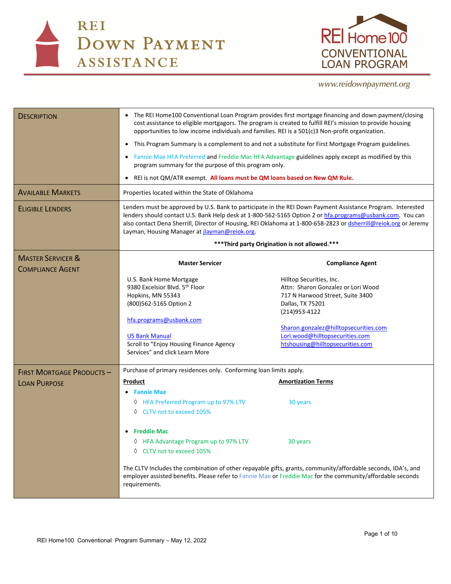



## www.reidownpayment.org

| <b>DESCRIPTION</b>                                      | • The REI Home100 Conventional Loan Program provides first mortgage financing and down payment/closing<br>cost assistance to eligible mortgagors. The program is created to fulfill REI's mission to provide housing<br>opportunities to low income individuals and families. REI is a 501(c)3 Non-profit organization.                                                                       |                                                                                                                                                                                                                            |  |  |  |
|---------------------------------------------------------|-----------------------------------------------------------------------------------------------------------------------------------------------------------------------------------------------------------------------------------------------------------------------------------------------------------------------------------------------------------------------------------------------|----------------------------------------------------------------------------------------------------------------------------------------------------------------------------------------------------------------------------|--|--|--|
|                                                         | • This Program Summary is a complement to and not a substitute for First Mortgage Program guidelines.                                                                                                                                                                                                                                                                                         |                                                                                                                                                                                                                            |  |  |  |
|                                                         | program summary for the purpose of this program only.                                                                                                                                                                                                                                                                                                                                         | • Fannie Mae HFA Preferred and Freddie Mac HFA Advantage guidelines apply except as modified by this                                                                                                                       |  |  |  |
|                                                         | • REI is not QM/ATR exempt. All loans must be QM loans based on New QM Rule.                                                                                                                                                                                                                                                                                                                  |                                                                                                                                                                                                                            |  |  |  |
| <b>AVAILABLE MARKETS</b>                                | Properties located within the State of Oklahoma                                                                                                                                                                                                                                                                                                                                               |                                                                                                                                                                                                                            |  |  |  |
| <b>ELIGIBLE LENDERS</b>                                 | Lenders must be approved by U.S. Bank to participate in the REI Down Payment Assistance Program. Interested<br>lenders should contact U.S. Bank Help desk at 1-800-562-5165 Option 2 or hfa.programs@usbank.com. You can<br>also contact Dena Sherrill, Director of Housing, REI Oklahoma at 1-800-658-2823 or dsherrill@reiok.org or Jeremy<br>Layman, Housing Manager at jlayman@reiok.org. |                                                                                                                                                                                                                            |  |  |  |
|                                                         |                                                                                                                                                                                                                                                                                                                                                                                               | *** Third party Origination is not allowed.***                                                                                                                                                                             |  |  |  |
| <b>MASTER SERVICER &amp;</b><br><b>COMPLIANCE AGENT</b> | <b>Master Servicer</b>                                                                                                                                                                                                                                                                                                                                                                        | <b>Compliance Agent</b>                                                                                                                                                                                                    |  |  |  |
|                                                         | U.S. Bank Home Mortgage<br>9380 Excelsior Blvd. 5th Floor<br>Hopkins, MN 55343<br>(800) 562-5165 Option 2                                                                                                                                                                                                                                                                                     | Hilltop Securities, Inc.<br>Attn: Sharon Gonzalez or Lori Wood<br>717 N Harwood Street, Suite 3400<br>Dallas, TX 75201<br>(214) 953-4122                                                                                   |  |  |  |
|                                                         | hfa.programs@usbank.com                                                                                                                                                                                                                                                                                                                                                                       | Sharon.gonzalez@hilltopsecurities.com                                                                                                                                                                                      |  |  |  |
|                                                         | <b>US Bank Manual</b>                                                                                                                                                                                                                                                                                                                                                                         | Lori.wood@hilltopsecurities.com                                                                                                                                                                                            |  |  |  |
|                                                         | Scroll to "Enjoy Housing Finance Agency<br>Services" and click Learn More                                                                                                                                                                                                                                                                                                                     | htshousing@hilltopsecurities.com                                                                                                                                                                                           |  |  |  |
| <b>FIRST MORTGAGE PRODUCTS-</b>                         | Purchase of primary residences only. Conforming loan limits apply.                                                                                                                                                                                                                                                                                                                            |                                                                                                                                                                                                                            |  |  |  |
| <b>LOAN PURPOSE</b>                                     | Product                                                                                                                                                                                                                                                                                                                                                                                       | <b>Amortization Terms</b>                                                                                                                                                                                                  |  |  |  |
|                                                         | <b>Fannie Mae</b><br>$\bullet$                                                                                                                                                                                                                                                                                                                                                                |                                                                                                                                                                                                                            |  |  |  |
|                                                         | ♦ HFA Preferred Program up to 97% LTV                                                                                                                                                                                                                                                                                                                                                         | 30 years                                                                                                                                                                                                                   |  |  |  |
|                                                         | CLTV not to exceed 105%                                                                                                                                                                                                                                                                                                                                                                       |                                                                                                                                                                                                                            |  |  |  |
|                                                         | • Freddie Mac                                                                                                                                                                                                                                                                                                                                                                                 |                                                                                                                                                                                                                            |  |  |  |
|                                                         | HFA Advantage Program up to 97% LTV                                                                                                                                                                                                                                                                                                                                                           | 30 years                                                                                                                                                                                                                   |  |  |  |
|                                                         | ♦ CLTV not to exceed 105%                                                                                                                                                                                                                                                                                                                                                                     |                                                                                                                                                                                                                            |  |  |  |
|                                                         | requirements.                                                                                                                                                                                                                                                                                                                                                                                 | The CLTV Includes the combination of other repayable gifts, grants, community/affordable seconds, IDA's, and<br>employer assisted benefits. Please refer to Fannie Mae or Freddie Mac for the community/affordable seconds |  |  |  |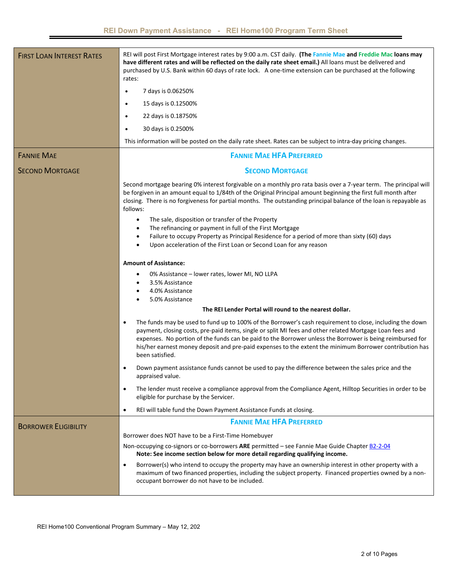| <b>FIRST LOAN INTEREST RATES</b> | REI will post First Mortgage interest rates by 9:00 a.m. CST daily. (The Fannie Mae and Freddie Mac loans may                                                                                                                                                                                                                                                                                                                                                                |
|----------------------------------|------------------------------------------------------------------------------------------------------------------------------------------------------------------------------------------------------------------------------------------------------------------------------------------------------------------------------------------------------------------------------------------------------------------------------------------------------------------------------|
|                                  | have different rates and will be reflected on the daily rate sheet email.) All loans must be delivered and<br>purchased by U.S. Bank within 60 days of rate lock. A one-time extension can be purchased at the following<br>rates:                                                                                                                                                                                                                                           |
|                                  | 7 days is 0.06250%<br>$\bullet$                                                                                                                                                                                                                                                                                                                                                                                                                                              |
|                                  | 15 days is 0.12500%<br>٠                                                                                                                                                                                                                                                                                                                                                                                                                                                     |
|                                  | 22 days is 0.18750%<br>٠                                                                                                                                                                                                                                                                                                                                                                                                                                                     |
|                                  | 30 days is 0.2500%<br>٠                                                                                                                                                                                                                                                                                                                                                                                                                                                      |
|                                  | This information will be posted on the daily rate sheet. Rates can be subject to intra-day pricing changes.                                                                                                                                                                                                                                                                                                                                                                  |
| <b>FANNIE MAE</b>                | <b>FANNIE MAE HFA PREFERRED</b>                                                                                                                                                                                                                                                                                                                                                                                                                                              |
| <b>SECOND MORTGAGE</b>           | <b>SECOND MORTGAGE</b>                                                                                                                                                                                                                                                                                                                                                                                                                                                       |
|                                  | Second mortgage bearing 0% interest forgivable on a monthly pro rata basis over a 7-year term. The principal will<br>be forgiven in an amount equal to 1/84th of the Original Principal amount beginning the first full month after<br>closing. There is no forgiveness for partial months. The outstanding principal balance of the loan is repayable as<br>follows:                                                                                                        |
|                                  | The sale, disposition or transfer of the Property                                                                                                                                                                                                                                                                                                                                                                                                                            |
|                                  | The refinancing or payment in full of the First Mortgage<br>Failure to occupy Property as Principal Residence for a period of more than sixty (60) days                                                                                                                                                                                                                                                                                                                      |
|                                  | Upon acceleration of the First Loan or Second Loan for any reason                                                                                                                                                                                                                                                                                                                                                                                                            |
|                                  | <b>Amount of Assistance:</b>                                                                                                                                                                                                                                                                                                                                                                                                                                                 |
|                                  | 0% Assistance - lower rates, lower MI, NO LLPA                                                                                                                                                                                                                                                                                                                                                                                                                               |
|                                  | 3.5% Assistance<br>4.0% Assistance                                                                                                                                                                                                                                                                                                                                                                                                                                           |
|                                  | 5.0% Assistance                                                                                                                                                                                                                                                                                                                                                                                                                                                              |
|                                  | The REI Lender Portal will round to the nearest dollar.                                                                                                                                                                                                                                                                                                                                                                                                                      |
|                                  | The funds may be used to fund up to 100% of the Borrower's cash requirement to close, including the down<br>$\bullet$<br>payment, closing costs, pre-paid items, single or split MI fees and other related Mortgage Loan fees and<br>expenses. No portion of the funds can be paid to the Borrower unless the Borrower is being reimbursed for<br>his/her earnest money deposit and pre-paid expenses to the extent the minimum Borrower contribution has<br>been satisfied. |
|                                  | Down payment assistance funds cannot be used to pay the difference between the sales price and the<br>$\bullet$<br>appraised value.                                                                                                                                                                                                                                                                                                                                          |
|                                  | The lender must receive a compliance approval from the Compliance Agent, Hilltop Securities in order to be<br>$\bullet$<br>eligible for purchase by the Servicer.                                                                                                                                                                                                                                                                                                            |
|                                  | REI will table fund the Down Payment Assistance Funds at closing.<br>$\bullet$                                                                                                                                                                                                                                                                                                                                                                                               |
| <b>BORROWER ELIGIBILITY</b>      | <b>FANNIE MAE HFA PREFERRED</b>                                                                                                                                                                                                                                                                                                                                                                                                                                              |
|                                  | Borrower does NOT have to be a First-Time Homebuyer                                                                                                                                                                                                                                                                                                                                                                                                                          |
|                                  | Non-occupying co-signors or co-borrowers ARE permitted - see Fannie Mae Guide Chapter B2-2-04<br>Note: See income section below for more detail regarding qualifying income.                                                                                                                                                                                                                                                                                                 |
|                                  | Borrower(s) who intend to occupy the property may have an ownership interest in other property with a<br>$\bullet$<br>maximum of two financed properties, including the subject property. Financed properties owned by a non-<br>occupant borrower do not have to be included.                                                                                                                                                                                               |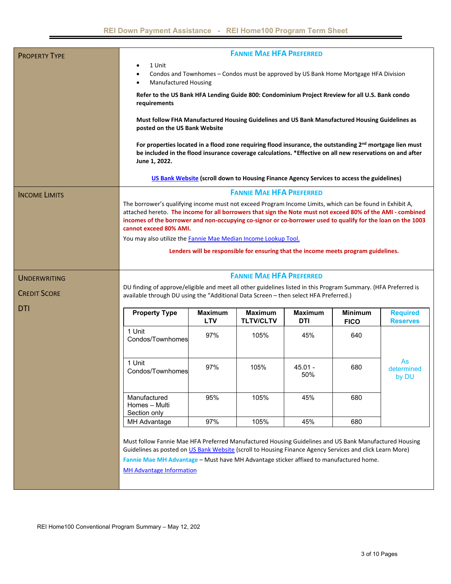| <b>PROPERTY TYPE</b> |                                                                                                                                                                                                                                                                                                                                                                 |                       | <b>FANNIE MAE HFA PREFERRED</b>                                                           |                              |                               |                                    |
|----------------------|-----------------------------------------------------------------------------------------------------------------------------------------------------------------------------------------------------------------------------------------------------------------------------------------------------------------------------------------------------------------|-----------------------|-------------------------------------------------------------------------------------------|------------------------------|-------------------------------|------------------------------------|
|                      | 1 Unit<br>Condos and Townhomes - Condos must be approved by US Bank Home Mortgage HFA Division<br><b>Manufactured Housing</b>                                                                                                                                                                                                                                   |                       |                                                                                           |                              |                               |                                    |
|                      | Refer to the US Bank HFA Lending Guide 800: Condominium Project Rreview for all U.S. Bank condo<br>requirements                                                                                                                                                                                                                                                 |                       |                                                                                           |                              |                               |                                    |
|                      | Must follow FHA Manufactured Housing Guidelines and US Bank Manufactured Housing Guidelines as<br>posted on the US Bank Website                                                                                                                                                                                                                                 |                       |                                                                                           |                              |                               |                                    |
|                      | For properties located in a flood zone requiring flood insurance, the outstanding 2 <sup>nd</sup> mortgage lien must<br>be included in the flood insurance coverage calculations. *Effective on all new reservations on and after<br>June 1, 2022.                                                                                                              |                       |                                                                                           |                              |                               |                                    |
|                      |                                                                                                                                                                                                                                                                                                                                                                 |                       | US Bank Website (scroll down to Housing Finance Agency Services to access the guidelines) |                              |                               |                                    |
| <b>INCOME LIMITS</b> |                                                                                                                                                                                                                                                                                                                                                                 |                       | <b>FANNIE MAE HFA PREFERRED</b>                                                           |                              |                               |                                    |
|                      | The borrower's qualifying income must not exceed Program Income Limits, which can be found in Exhibit A,<br>attached hereto. The income for all borrowers that sign the Note must not exceed 80% of the AMI - combined<br>incomes of the borrower and non-occupying co-signor or co-borrower used to qualify for the loan on the 1003<br>cannot exceed 80% AMI. |                       |                                                                                           |                              |                               |                                    |
|                      | You may also utilize the Fannie Mae Median Income Lookup Tool.                                                                                                                                                                                                                                                                                                  |                       |                                                                                           |                              |                               |                                    |
|                      |                                                                                                                                                                                                                                                                                                                                                                 |                       | Lenders will be responsible for ensuring that the income meets program guidelines.        |                              |                               |                                    |
| <b>UNDERWRITING</b>  | <b>FANNIE MAE HFA PREFERRED</b>                                                                                                                                                                                                                                                                                                                                 |                       |                                                                                           |                              |                               |                                    |
| <b>CREDIT SCORE</b>  | DU finding of approve/eligible and meet all other guidelines listed in this Program Summary. (HFA Preferred is<br>available through DU using the "Additional Data Screen - then select HFA Preferred.)                                                                                                                                                          |                       |                                                                                           |                              |                               |                                    |
| DTI                  | <b>Property Type</b>                                                                                                                                                                                                                                                                                                                                            | <b>Maximum</b><br>LTV | <b>Maximum</b><br><b>TLTV/CLTV</b>                                                        | <b>Maximum</b><br><b>DTI</b> | <b>Minimum</b><br><b>FICO</b> | <b>Required</b><br><b>Reserves</b> |
|                      | 1 Unit<br>Condos/Townhomes                                                                                                                                                                                                                                                                                                                                      | 97%                   | 105%                                                                                      | 45%                          | 640                           |                                    |
|                      | 1 Unit<br>Condos/Townhomes                                                                                                                                                                                                                                                                                                                                      | 97%                   | 105%                                                                                      | 45.01 -<br>50%               | 680                           | As<br>determined<br>by DU          |
|                      | Manufactured<br>Homes - Multi<br>Section only                                                                                                                                                                                                                                                                                                                   | 95%                   | 105%                                                                                      | 45%                          | 680                           |                                    |
|                      | MH Advantage                                                                                                                                                                                                                                                                                                                                                    | 97%                   | 105%                                                                                      | 45%                          | 680                           |                                    |
|                      | Must follow Fannie Mae HFA Preferred Manufactured Housing Guidelines and US Bank Manufactured Housing<br>Guidelines as posted on US Bank Website (scroll to Housing Finance Agency Services and click Learn More)<br>Fannie Mae MH Advantage - Must have MH Advantage sticker affixed to manufactured home.<br><b>MH Advantage Information</b>                  |                       |                                                                                           |                              |                               |                                    |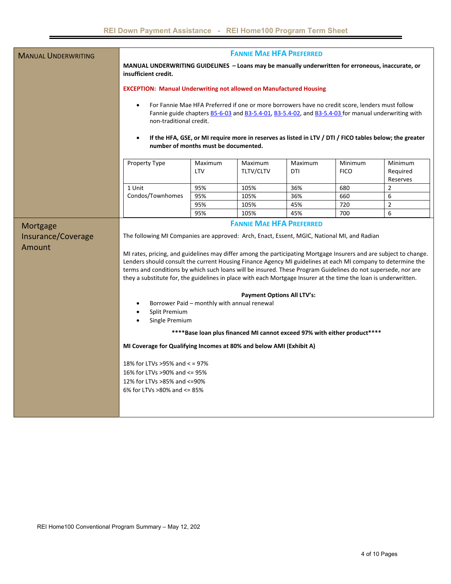| <b>MANUAL UNDERWRITING</b>               |                                                                                                                                                                                                                                                                                                                                                                                                                                                                                                                                                                                                                                                                                                                                                                                                              | <b>FANNIE MAE HFA PREFERRED</b>                                                                   |                                                                                                                                                  |                |                        |                     |
|------------------------------------------|--------------------------------------------------------------------------------------------------------------------------------------------------------------------------------------------------------------------------------------------------------------------------------------------------------------------------------------------------------------------------------------------------------------------------------------------------------------------------------------------------------------------------------------------------------------------------------------------------------------------------------------------------------------------------------------------------------------------------------------------------------------------------------------------------------------|---------------------------------------------------------------------------------------------------|--------------------------------------------------------------------------------------------------------------------------------------------------|----------------|------------------------|---------------------|
|                                          | insufficient credit.                                                                                                                                                                                                                                                                                                                                                                                                                                                                                                                                                                                                                                                                                                                                                                                         | MANUAL UNDERWRITING GUIDELINES - Loans may be manually underwritten for erroneous, inaccurate, or |                                                                                                                                                  |                |                        |                     |
|                                          | <b>EXCEPTION: Manual Underwriting not allowed on Manufactured Housing</b>                                                                                                                                                                                                                                                                                                                                                                                                                                                                                                                                                                                                                                                                                                                                    |                                                                                                   |                                                                                                                                                  |                |                        |                     |
|                                          | For Fannie Mae HFA Preferred if one or more borrowers have no credit score, lenders must follow<br>Fannie guide chapters B5-6-03 and B3-5.4-01, B3-5.4-02, and B3-5.4-03 for manual underwriting with<br>non-traditional credit.<br>If the HFA, GSE, or MI require more in reserves as listed in LTV / DTI / FICO tables below; the greater<br>$\bullet$<br>number of months must be documented.                                                                                                                                                                                                                                                                                                                                                                                                             |                                                                                                   |                                                                                                                                                  |                |                        |                     |
|                                          | <b>Property Type</b>                                                                                                                                                                                                                                                                                                                                                                                                                                                                                                                                                                                                                                                                                                                                                                                         | Maximum<br><b>LTV</b>                                                                             | <b>Maximum</b><br><b>TLTV/CLTV</b>                                                                                                               | Maximum<br>DTI | Minimum<br><b>FICO</b> | Minimum<br>Required |
|                                          |                                                                                                                                                                                                                                                                                                                                                                                                                                                                                                                                                                                                                                                                                                                                                                                                              |                                                                                                   |                                                                                                                                                  |                |                        | Reserves            |
|                                          | 1 Unit<br>Condos/Townhomes                                                                                                                                                                                                                                                                                                                                                                                                                                                                                                                                                                                                                                                                                                                                                                                   | 95%                                                                                               | 105%                                                                                                                                             | 36%            | 680                    | $\overline{2}$      |
|                                          |                                                                                                                                                                                                                                                                                                                                                                                                                                                                                                                                                                                                                                                                                                                                                                                                              | 95%<br>95%                                                                                        | 105%<br>105%                                                                                                                                     | 36%<br>45%     | 660<br>720             | 6<br>$\overline{2}$ |
|                                          |                                                                                                                                                                                                                                                                                                                                                                                                                                                                                                                                                                                                                                                                                                                                                                                                              | 95%                                                                                               | 105%                                                                                                                                             | 45%            | 700                    | 6                   |
| Mortgage<br>Insurance/Coverage<br>Amount | The following MI Companies are approved: Arch, Enact, Essent, MGIC, National MI, and Radian<br>MI rates, pricing, and guidelines may differ among the participating Mortgage Insurers and are subject to change.<br>Lenders should consult the current Housing Finance Agency MI guidelines at each MI company to determine the<br>terms and conditions by which such loans will be insured. These Program Guidelines do not supersede, nor are<br>they a substitute for, the guidelines in place with each Mortgage Insurer at the time the loan is underwritten.<br>Split Premium<br>Single Premium<br>MI Coverage for Qualifying Incomes at 80% and below AMI (Exhibit A)<br>18% for LTVs >95% and < = 97%<br>16% for LTVs >90% and <= 95%<br>12% for LTVs >85% and <= 90%<br>6% for LTVs >80% and <= 85% | Borrower Paid - monthly with annual renewal                                                       | <b>FANNIE MAE HFA PREFERRED</b><br><b>Payment Options All LTV's:</b><br>****Base loan plus financed MI cannot exceed 97% with either product**** |                |                        |                     |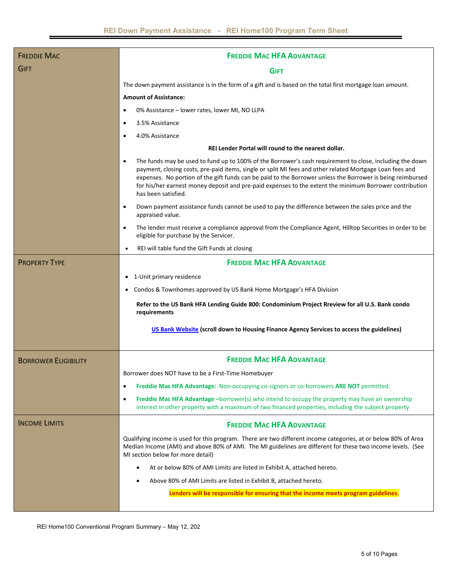| <b>FREDDIE MAC</b>          | <b>FREDDIE MAC HFA ADVANTAGE</b>                                                                                                                                                                                                                                                                                                                                                                                                                                                  |  |  |  |  |
|-----------------------------|-----------------------------------------------------------------------------------------------------------------------------------------------------------------------------------------------------------------------------------------------------------------------------------------------------------------------------------------------------------------------------------------------------------------------------------------------------------------------------------|--|--|--|--|
| <b>GIFT</b>                 | <b>GIFT</b>                                                                                                                                                                                                                                                                                                                                                                                                                                                                       |  |  |  |  |
|                             | The down payment assistance is in the form of a gift and is based on the total first mortgage loan amount.                                                                                                                                                                                                                                                                                                                                                                        |  |  |  |  |
|                             | <b>Amount of Assistance:</b>                                                                                                                                                                                                                                                                                                                                                                                                                                                      |  |  |  |  |
|                             | 0% Assistance - lower rates, lower MI, NO LLPA<br>$\bullet$                                                                                                                                                                                                                                                                                                                                                                                                                       |  |  |  |  |
|                             | 3.5% Assistance<br>$\bullet$                                                                                                                                                                                                                                                                                                                                                                                                                                                      |  |  |  |  |
|                             | 4.0% Assistance<br>$\bullet$                                                                                                                                                                                                                                                                                                                                                                                                                                                      |  |  |  |  |
|                             | REI Lender Portal will round to the nearest dollar.                                                                                                                                                                                                                                                                                                                                                                                                                               |  |  |  |  |
|                             | The funds may be used to fund up to 100% of the Borrower's cash requirement to close, including the down<br>$\bullet$<br>payment, closing costs, pre-paid items, single or split MI fees and other related Mortgage Loan fees and<br>expenses. No portion of the gift funds can be paid to the Borrower unless the Borrower is being reimbursed<br>for his/her earnest money deposit and pre-paid expenses to the extent the minimum Borrower contribution<br>has been satisfied. |  |  |  |  |
|                             | Down payment assistance funds cannot be used to pay the difference between the sales price and the<br>$\bullet$<br>appraised value.                                                                                                                                                                                                                                                                                                                                               |  |  |  |  |
|                             | The lender must receive a compliance approval from the Compliance Agent, Hilltop Securities in order to be<br>$\bullet$<br>eligible for purchase by the Servicer.                                                                                                                                                                                                                                                                                                                 |  |  |  |  |
|                             | REI will table fund the Gift Funds at closing                                                                                                                                                                                                                                                                                                                                                                                                                                     |  |  |  |  |
| <b>PROPERTY TYPE</b>        | <b>FREDDIE MAC HFA ADVANTAGE</b>                                                                                                                                                                                                                                                                                                                                                                                                                                                  |  |  |  |  |
|                             | 1-Unit primary residence<br>٠                                                                                                                                                                                                                                                                                                                                                                                                                                                     |  |  |  |  |
|                             | Condos & Townhomes approved by US Bank Home Mortgage's HFA Division<br>٠                                                                                                                                                                                                                                                                                                                                                                                                          |  |  |  |  |
|                             | Refer to the US Bank HFA Lending Guide 800: Condominium Project Rreview for all U.S. Bank condo<br>requirements                                                                                                                                                                                                                                                                                                                                                                   |  |  |  |  |
|                             | US Bank Website (scroll down to Housing Finance Agency Services to access the guidelines)                                                                                                                                                                                                                                                                                                                                                                                         |  |  |  |  |
| <b>BORROWER ELIGIBILITY</b> | <b>FREDDIE MAC HFA ADVANTAGE</b>                                                                                                                                                                                                                                                                                                                                                                                                                                                  |  |  |  |  |
|                             | Borrower does NOT have to be a First-Time Homebuyer                                                                                                                                                                                                                                                                                                                                                                                                                               |  |  |  |  |
|                             | Freddie Mac HFA Advantage: Non-occupying co-signors or co-borrowers ARE NOT permitted.<br>$\bullet$                                                                                                                                                                                                                                                                                                                                                                               |  |  |  |  |
|                             | Freddie Mac HFA Advantage -borrower(s) who intend to occupy the property may have an ownership<br>$\bullet$<br>interest in other property with a maximum of two financed properties, including the subject property                                                                                                                                                                                                                                                               |  |  |  |  |
| <b>INCOME LIMITS</b>        | <b>FREDDIE MAC HFA ADVANTAGE</b>                                                                                                                                                                                                                                                                                                                                                                                                                                                  |  |  |  |  |
|                             | Qualifying income is used for this program. There are two different income categories, at or below 80% of Area<br>Median Income (AMI) and above 80% of AMI. The MI guidelines are different for these two income levels. (See<br>MI section below for more detail)                                                                                                                                                                                                                |  |  |  |  |
|                             | At or below 80% of AMI Limits are listed in Exhibit A, attached hereto.                                                                                                                                                                                                                                                                                                                                                                                                           |  |  |  |  |
|                             | Above 80% of AMI Limits are listed in Exhibit B, attached hereto.                                                                                                                                                                                                                                                                                                                                                                                                                 |  |  |  |  |
|                             | Lenders will be responsible for ensuring that the income meets program guidelines.                                                                                                                                                                                                                                                                                                                                                                                                |  |  |  |  |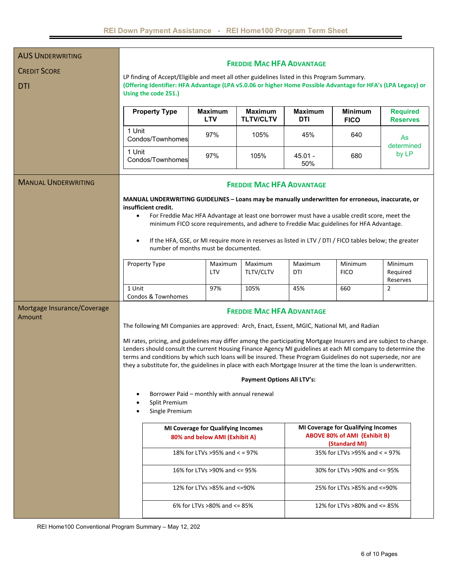| <b>FREDDIE MAC HFA ADVANTAGE</b><br>LP finding of Accept/Eligible and meet all other guidelines listed in this Program Summary.<br>(Offering Identifier: HFA Advantage (LPA v5.0.06 or higher Home Possible Advantage for HFA's (LPA Legacy) or<br>Using the code 251.)                                                                                                                                                                                                            |                                                                                                                                                                                                                     |                                    |                                                                     |                                                                       |                                                                                                                                                                                                                                                                                                                                                                                                                                                                                                                                                                                                                                                                                                                                                                                                   |
|------------------------------------------------------------------------------------------------------------------------------------------------------------------------------------------------------------------------------------------------------------------------------------------------------------------------------------------------------------------------------------------------------------------------------------------------------------------------------------|---------------------------------------------------------------------------------------------------------------------------------------------------------------------------------------------------------------------|------------------------------------|---------------------------------------------------------------------|-----------------------------------------------------------------------|---------------------------------------------------------------------------------------------------------------------------------------------------------------------------------------------------------------------------------------------------------------------------------------------------------------------------------------------------------------------------------------------------------------------------------------------------------------------------------------------------------------------------------------------------------------------------------------------------------------------------------------------------------------------------------------------------------------------------------------------------------------------------------------------------|
| <b>Property Type</b>                                                                                                                                                                                                                                                                                                                                                                                                                                                               | <b>Maximum</b><br><b>LTV</b>                                                                                                                                                                                        | <b>Maximum</b><br><b>TLTV/CLTV</b> | <b>Maximum</b><br>DTI                                               | <b>Minimum</b><br><b>FICO</b>                                         | <b>Required</b><br><b>Reserves</b>                                                                                                                                                                                                                                                                                                                                                                                                                                                                                                                                                                                                                                                                                                                                                                |
| 1 Unit<br>Condos/Townhomes                                                                                                                                                                                                                                                                                                                                                                                                                                                         | 97%                                                                                                                                                                                                                 | 105%                               | 45%                                                                 | 640                                                                   | As<br>determined                                                                                                                                                                                                                                                                                                                                                                                                                                                                                                                                                                                                                                                                                                                                                                                  |
| 1 Unit<br>Condos/Townhomes                                                                                                                                                                                                                                                                                                                                                                                                                                                         | 97%                                                                                                                                                                                                                 | 105%                               | $45.01 -$<br>50%                                                    | 680                                                                   | by LP                                                                                                                                                                                                                                                                                                                                                                                                                                                                                                                                                                                                                                                                                                                                                                                             |
| <b>FREDDIE MAC HFA ADVANTAGE</b><br>MANUAL UNDERWRITING GUIDELINES - Loans may be manually underwritten for erroneous, inaccurate, or<br>insufficient credit.<br>For Freddie Mac HFA Advantage at least one borrower must have a usable credit score, meet the<br>$\bullet$<br>minimum FICO score requirements, and adhere to Freddie Mac guidelines for HFA Advantage.<br>If the HFA, GSE, or MI require more in reserves as listed in LTV / DTI / FICO tables below; the greater |                                                                                                                                                                                                                     |                                    |                                                                     |                                                                       |                                                                                                                                                                                                                                                                                                                                                                                                                                                                                                                                                                                                                                                                                                                                                                                                   |
| Property Type<br>1 Unit                                                                                                                                                                                                                                                                                                                                                                                                                                                            | Maximum<br><b>LTV</b><br>97%                                                                                                                                                                                        | Maximum<br>TLTV/CLTV<br>105%       | Maximum<br>DTI<br>45%                                               | Minimum<br><b>FICO</b><br>660                                         | Minimum<br>Required<br>Reserves<br>$\overline{2}$                                                                                                                                                                                                                                                                                                                                                                                                                                                                                                                                                                                                                                                                                                                                                 |
| Split Premium<br>Single Premium                                                                                                                                                                                                                                                                                                                                                                                                                                                    | Borrower Paid - monthly with annual renewal<br>MI Coverage for Qualifying Incomes<br>80% and below AMI (Exhibit A)<br>18% for LTVs >95% and < = 97%<br>16% for LTVs >90% and <= 95%<br>12% for LTVs >85% and <= 90% |                                    |                                                                     |                                                                       |                                                                                                                                                                                                                                                                                                                                                                                                                                                                                                                                                                                                                                                                                                                                                                                                   |
|                                                                                                                                                                                                                                                                                                                                                                                                                                                                                    | Condos & Townhomes                                                                                                                                                                                                  |                                    | number of months must be documented.<br>6% for LTVs >80% and <= 85% | <b>FREDDIE MAC HFA ADVANTAGE</b><br><b>Payment Options All LTV's:</b> | The following MI Companies are approved: Arch, Enact, Essent, MGIC, National MI, and Radian<br>MI rates, pricing, and guidelines may differ among the participating Mortgage Insurers and are subject to change.<br>Lenders should consult the current Housing Finance Agency MI guidelines at each MI company to determine the<br>terms and conditions by which such loans will be insured. These Program Guidelines do not supersede, nor are<br>they a substitute for, the guidelines in place with each Mortgage Insurer at the time the loan is underwritten.<br>MI Coverage for Qualifying Incomes<br><b>ABOVE 80% of AMI (Exhibit B)</b><br>(Standard MI)<br>35% for LTVs >95% and < = 97%<br>30% for LTVs >90% and <= 95%<br>25% for LTVs >85% and <= 90%<br>12% for LTVs >80% and <= 85% |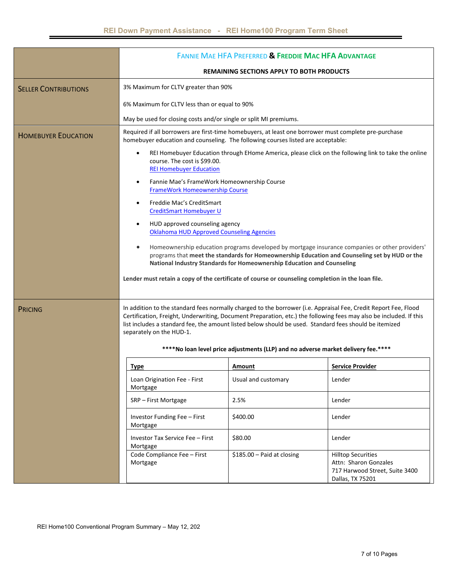|                             | FANNIE MAE HFA PREFERRED & FREDDIE MAC HFA ADVANTAGE                                                                                                                                                                                                                                                                                                                        |                                                                                   |                                                                                                      |  |  |
|-----------------------------|-----------------------------------------------------------------------------------------------------------------------------------------------------------------------------------------------------------------------------------------------------------------------------------------------------------------------------------------------------------------------------|-----------------------------------------------------------------------------------|------------------------------------------------------------------------------------------------------|--|--|
|                             | <b>REMAINING SECTIONS APPLY TO BOTH PRODUCTS</b>                                                                                                                                                                                                                                                                                                                            |                                                                                   |                                                                                                      |  |  |
| <b>SELLER CONTRIBUTIONS</b> | 3% Maximum for CLTV greater than 90%                                                                                                                                                                                                                                                                                                                                        |                                                                                   |                                                                                                      |  |  |
|                             | 6% Maximum for CLTV less than or equal to 90%                                                                                                                                                                                                                                                                                                                               |                                                                                   |                                                                                                      |  |  |
|                             | May be used for closing costs and/or single or split MI premiums.                                                                                                                                                                                                                                                                                                           |                                                                                   |                                                                                                      |  |  |
| <b>HOMEBUYER EDUCATION</b>  | Required if all borrowers are first-time homebuyers, at least one borrower must complete pre-purchase<br>homebuyer education and counseling. The following courses listed are acceptable:                                                                                                                                                                                   |                                                                                   |                                                                                                      |  |  |
|                             | course. The cost is \$99.00.<br><b>REI Homebuyer Education</b>                                                                                                                                                                                                                                                                                                              |                                                                                   | REI Homebuyer Education through EHome America, please click on the following link to take the online |  |  |
|                             | Fannie Mae's FrameWork Homeownership Course<br><b>FrameWork Homeownership Course</b>                                                                                                                                                                                                                                                                                        |                                                                                   |                                                                                                      |  |  |
|                             | Freddie Mac's CreditSmart<br>CreditSmart Homebuyer U                                                                                                                                                                                                                                                                                                                        |                                                                                   |                                                                                                      |  |  |
|                             | HUD approved counseling agency<br><b>Oklahoma HUD Approved Counseling Agencies</b>                                                                                                                                                                                                                                                                                          |                                                                                   |                                                                                                      |  |  |
|                             | Homeownership education programs developed by mortgage insurance companies or other providers'<br>programs that meet the standards for Homeownership Education and Counseling set by HUD or the<br>National Industry Standards for Homeownership Education and Counseling                                                                                                   |                                                                                   |                                                                                                      |  |  |
|                             | Lender must retain a copy of the certificate of course or counseling completion in the loan file.                                                                                                                                                                                                                                                                           |                                                                                   |                                                                                                      |  |  |
| PRICING                     | In addition to the standard fees normally charged to the borrower (i.e. Appraisal Fee, Credit Report Fee, Flood<br>Certification, Freight, Underwriting, Document Preparation, etc.) the following fees may also be included. If this<br>list includes a standard fee, the amount listed below should be used. Standard fees should be itemized<br>separately on the HUD-1. |                                                                                   |                                                                                                      |  |  |
|                             |                                                                                                                                                                                                                                                                                                                                                                             | ****No loan level price adjustments (LLP) and no adverse market delivery fee.**** |                                                                                                      |  |  |
|                             | <b>Type</b>                                                                                                                                                                                                                                                                                                                                                                 | <b>Amount</b>                                                                     | <b>Service Provider</b>                                                                              |  |  |
|                             | Loan Origination Fee - First<br>Mortgage                                                                                                                                                                                                                                                                                                                                    | Usual and customary                                                               | Lender                                                                                               |  |  |
|                             | 2.5%<br>SRP - First Mortgage<br>Lender                                                                                                                                                                                                                                                                                                                                      |                                                                                   |                                                                                                      |  |  |
|                             | Investor Funding Fee - First<br>\$400.00<br>Lender<br>Mortgage                                                                                                                                                                                                                                                                                                              |                                                                                   |                                                                                                      |  |  |
|                             | Investor Tax Service Fee - First<br>Mortgage                                                                                                                                                                                                                                                                                                                                | \$80.00                                                                           | Lender                                                                                               |  |  |
|                             | Code Compliance Fee - First<br>\$185.00 - Paid at closing<br><b>Hilltop Securities</b><br>Attn: Sharon Gonzales<br>Mortgage<br>717 Harwood Street, Suite 3400<br>Dallas, TX 75201                                                                                                                                                                                           |                                                                                   |                                                                                                      |  |  |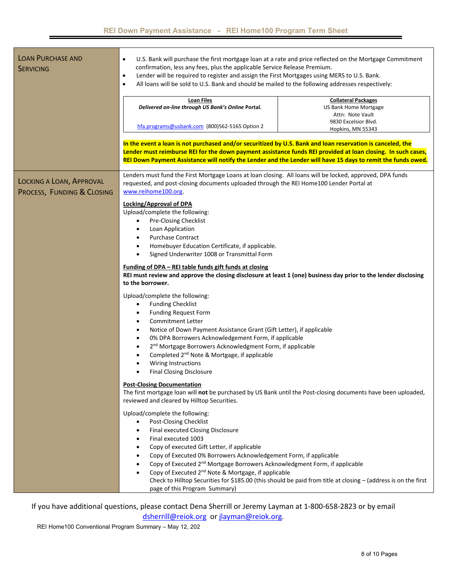| <b>LOAN PURCHASE AND</b><br><b>SERVICING</b>           | U.S. Bank will purchase the first mortgage loan at a rate and price reflected on the Mortgage Commitment<br>$\bullet$<br>confirmation, less any fees, plus the applicable Service Release Premium.<br>Lender will be required to register and assign the First Mortgages using MERS to U.S. Bank.<br>$\bullet$<br>All loans will be sold to U.S. Bank and should be mailed to the following addresses respectively:<br>$\bullet$                                                                                                                                                                                                                                                                                                                          |                                                                                                                |  |  |  |  |
|--------------------------------------------------------|-----------------------------------------------------------------------------------------------------------------------------------------------------------------------------------------------------------------------------------------------------------------------------------------------------------------------------------------------------------------------------------------------------------------------------------------------------------------------------------------------------------------------------------------------------------------------------------------------------------------------------------------------------------------------------------------------------------------------------------------------------------|----------------------------------------------------------------------------------------------------------------|--|--|--|--|
|                                                        | <b>Loan Files</b><br>Delivered on-line through US Bank's Online Portal.                                                                                                                                                                                                                                                                                                                                                                                                                                                                                                                                                                                                                                                                                   | <b>Collateral Packages</b><br>US Bank Home Mortgage<br>Attn: Note Vault                                        |  |  |  |  |
|                                                        | hfa.programs@usbank.com (800)562-5165 Option 2                                                                                                                                                                                                                                                                                                                                                                                                                                                                                                                                                                                                                                                                                                            | 9830 Excelsior Blvd.<br>Hopkins, MN 55343                                                                      |  |  |  |  |
|                                                        | In the event a loan is not purchased and/or securitized by U.S. Bank and loan reservation is canceled, the<br>Lender must reimburse REI for the down payment assistance funds REI provided at loan closing. In such cases,<br>REI Down Payment Assistance will notify the Lender and the Lender will have 15 days to remit the funds owed.                                                                                                                                                                                                                                                                                                                                                                                                                |                                                                                                                |  |  |  |  |
| LOCKING A LOAN, APPROVAL<br>PROCESS, FUNDING & CLOSING | Lenders must fund the First Mortgage Loans at loan closing. All loans will be locked, approved, DPA funds<br>requested, and post-closing documents uploaded through the REI Home100 Lender Portal at<br>www.reihome100.org.                                                                                                                                                                                                                                                                                                                                                                                                                                                                                                                               |                                                                                                                |  |  |  |  |
|                                                        | <b>Locking/Approval of DPA</b><br>Upload/complete the following:<br>Pre-Closing Checklist<br>$\bullet$<br>Loan Application<br><b>Purchase Contract</b><br>$\bullet$<br>Homebuyer Education Certificate, if applicable.<br>$\bullet$<br>Signed Underwriter 1008 or Transmittal Form<br>$\bullet$                                                                                                                                                                                                                                                                                                                                                                                                                                                           |                                                                                                                |  |  |  |  |
|                                                        | <u>Funding of DPA – REI table funds gift funds at closing</u><br>REI must review and approve the closing disclosure at least 1 (one) business day prior to the lender disclosing<br>to the borrower.                                                                                                                                                                                                                                                                                                                                                                                                                                                                                                                                                      |                                                                                                                |  |  |  |  |
|                                                        | Upload/complete the following:<br><b>Funding Checklist</b><br>٠<br><b>Funding Request Form</b><br>$\bullet$<br><b>Commitment Letter</b><br>$\bullet$<br>Notice of Down Payment Assistance Grant (Gift Letter), if applicable<br>$\bullet$<br>0% DPA Borrowers Acknowledgement Form, if applicable<br>$\bullet$<br>2 <sup>nd</sup> Mortgage Borrowers Acknowledgment Form, if applicable<br>$\bullet$<br>Completed 2 <sup>nd</sup> Note & Mortgage, if applicable<br>$\bullet$<br>Wiring Instructions<br>$\bullet$<br><b>Final Closing Disclosure</b><br><b>Post-Closing Documentation</b><br>The first mortgage loan will not be purchased by US Bank until the Post-closing documents have been uploaded,<br>reviewed and cleared by Hilltop Securities. |                                                                                                                |  |  |  |  |
|                                                        |                                                                                                                                                                                                                                                                                                                                                                                                                                                                                                                                                                                                                                                                                                                                                           |                                                                                                                |  |  |  |  |
|                                                        | Upload/complete the following:<br>Post-Closing Checklist<br>$\bullet$<br>Final executed Closing Disclosure<br>Final executed 1003<br>$\bullet$<br>Copy of executed Gift Letter, if applicable<br>$\bullet$<br>Copy of Executed 0% Borrowers Acknowledgement Form, if applicable<br>٠<br>Copy of Executed 2 <sup>nd</sup> Mortgage Borrowers Acknowledgment Form, if applicable<br>$\bullet$<br>Copy of Executed 2 <sup>nd</sup> Note & Mortgage, if applicable<br>$\bullet$<br>page of this Program Summary)                                                                                                                                                                                                                                              | Check to Hilltop Securities for \$185.00 (this should be paid from title at closing - (address is on the first |  |  |  |  |

If you have additional questions, please contact Dena Sherrill or Jeremy Layman at 1‐800‐658‐2823 or by email dsherrill@reiok.org or jlayman@reiok.org.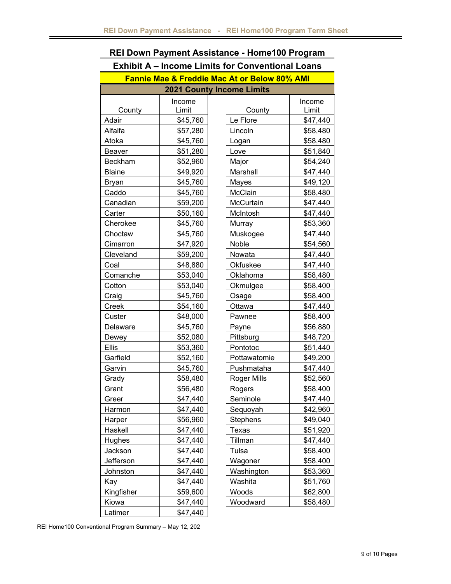| <b>Exhibit A - Income Limits for Conventional Loans</b> |                 |  |                                  |                 |  |
|---------------------------------------------------------|-----------------|--|----------------------------------|-----------------|--|
| Fannie Mae & Freddie Mac At or Below 80% AMI            |                 |  |                                  |                 |  |
|                                                         |                 |  | <b>2021 County Income Limits</b> |                 |  |
| County                                                  | Income<br>Limit |  | County                           | Income<br>Limit |  |
| Adair                                                   | \$45,760        |  | Le Flore                         | \$47,440        |  |
| Alfalfa                                                 | \$57,280        |  | Lincoln                          | \$58,480        |  |
| Atoka                                                   | \$45,760        |  | Logan                            | \$58,480        |  |
| <b>Beaver</b>                                           | \$51,280        |  | Love                             | \$51,840        |  |
| <b>Beckham</b>                                          | \$52,960        |  | Major                            | \$54,240        |  |
| <b>Blaine</b>                                           | \$49,920        |  | Marshall                         | \$47,440        |  |
| <b>Bryan</b>                                            | \$45,760        |  | Mayes                            | \$49,120        |  |
| Caddo                                                   | \$45,760        |  | McClain                          | \$58,480        |  |
| Canadian                                                | \$59,200        |  | McCurtain                        | \$47,440        |  |
| Carter                                                  | \$50,160        |  | McIntosh                         | \$47,440        |  |
| Cherokee                                                | \$45,760        |  | Murray                           | \$53,360        |  |
| Choctaw                                                 | \$45,760        |  | Muskogee                         | \$47,440        |  |
| Cimarron                                                | \$47,920        |  | Noble                            | \$54,560        |  |
| Cleveland                                               | \$59,200        |  | Nowata                           | \$47,440        |  |
| Coal                                                    | \$48,880        |  | Okfuskee                         | \$47,440        |  |
| Comanche                                                | \$53,040        |  | Oklahoma                         | \$58,480        |  |
| Cotton                                                  | \$53,040        |  | Okmulgee                         | \$58,400        |  |
| Craig                                                   | \$45,760        |  | Osage                            | \$58,400        |  |
| Creek                                                   | \$54,160        |  | Ottawa                           | \$47,440        |  |
| Custer                                                  | \$48,000        |  | Pawnee                           | \$58,400        |  |
| Delaware                                                | \$45,760        |  | Payne                            | \$56,880        |  |
| Dewey                                                   | \$52,080        |  | Pittsburg                        | \$48,720        |  |
| Ellis                                                   | \$53,360        |  | Pontotoc                         | \$51,440        |  |
| Garfield                                                | \$52,160        |  | Pottawatomie                     | \$49,200        |  |
| Garvin                                                  | \$45,760        |  | Pushmataha                       | \$47,440        |  |
| Grady                                                   | \$58,480        |  | Roger Mills                      | \$52,560        |  |
| Grant                                                   | \$56,480        |  | Rogers                           | \$58,400        |  |
| Greer                                                   | \$47,440        |  | Seminole                         | \$47,440        |  |
| Harmon                                                  | \$47,440        |  | Sequoyah                         | \$42,960        |  |
| Harper                                                  | \$56,960        |  | Stephens                         | \$49,040        |  |
| Haskell                                                 | \$47,440        |  | Texas                            | \$51,920        |  |
| Hughes                                                  | \$47,440        |  | Tillman                          | \$47,440        |  |
| Jackson                                                 | \$47,440        |  | Tulsa                            | \$58,400        |  |
| Jefferson                                               | \$47,440        |  | Wagoner                          | \$58,400        |  |
| Johnston                                                | \$47,440        |  | Washington                       | \$53,360        |  |
| Kay                                                     | \$47,440        |  | Washita                          | \$51,760        |  |
| Kingfisher                                              | \$59,600        |  | Woods                            | \$62,800        |  |
| Kiowa                                                   | \$47,440        |  | Woodward                         | \$58,480        |  |
| Latimer                                                 | \$47,440        |  |                                  |                 |  |

## **REI Down Payment Assistance - Home100 Program**